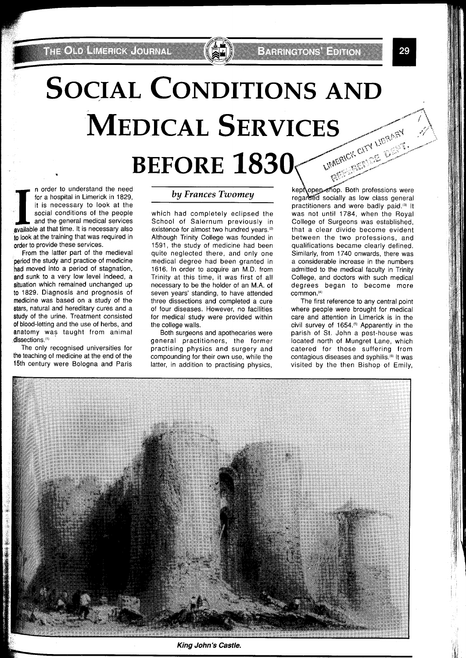## **SOCIAL CONDITIONS AND MEDICAL SERVICES** LIMERICK CITY LIBRARY

**BEFORE 1830** 

I **I I** n order to understand the need for a hospital in Limerick in 1829, it is necessary to look at the social conditions of the people and the general medical services available at that time. It is necessary also for a hospital in Limerick in 1829, it is necessary to look at the social conditions of the people and the general medical services to look at the training that was required in order to provide these services.

From the latter part of the medieval period the study and practice of medicine had moved into a period of stagnation, and sunk to a very low level indeed, a situation which remained unchanged up to 1829. Diagnosis and prognosis of medicine was based on a study of the stars, natural and hereditary cures and a study of the urine. Treatment consisted of blood-letting and the use of herbs, and anatomy was taught from animal dissections.<sup>(1)</sup>

The only recognised universities for the teaching of medicine at the end of the 15th century were Bologna and Paris

## **by** *Frances Twomey*

which had completely eclipsed the School of Salernum previously in existence for almost two hundred years.<sup>(2)</sup> Although Trinity College was founded in 1591, the study of medicine had been quite neglected there, and only one medical degree had been granted in 1616. In order to acquire an M.D. from Trinity at this time, it was first of all necessary to be the holder of an M.A. of seven years' standing, to have attended three dissections and completed a cure of four diseases. However, no facilities for medical study were provided within the college walls.

Both surgeons and apothecaries were general practitioners, the former practising physics and surgery and compounding for their own use, while the latter, in addition to practising physics,

. Both professions were ially as low class general practitioners and were badly paid.'3) It was not until 1784, when the Royal College of Surgeons was established, that a clear divide become evident between the two professions, and qualifications became clearly defined. Similarly, from 1740 onwards, there was a considerable increase in the numbers admitted to the medical faculty in Trinity College, and doctors with such medical degrees began to become more

**Extractors Editor** 

The first reference to any central point where people were brought for medical care and attention in Limerick is in the civil survey of 1654.<sup>(5)</sup> Apparently in the parish of St. John a pest-house was located north of Mungret Lane, which catered for those suffering from contagious diseases and syphilis.<sup>(6)</sup> It was visited by the then Bishop of Emily,



King John's Castle.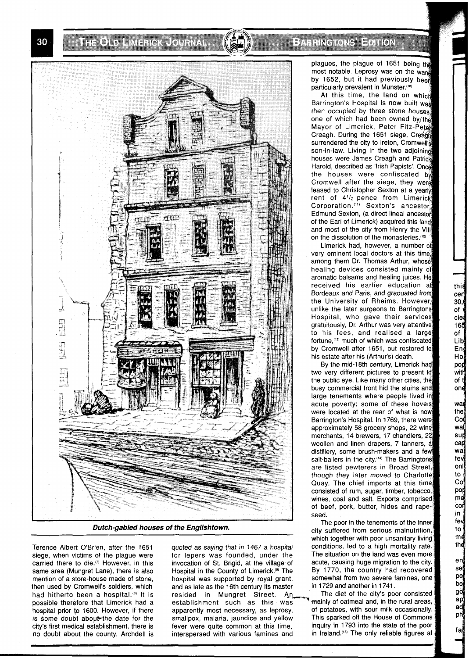**THE ONE H**IME ROOM CONTROL

symmer on silandin

plagues, the plague of 1651 being the most notable. Leprosy was on the wang by 1652, but it had previously been particularly prevalent in Munster.(10)

At this time, the land on which Barrington's Hospital is now built was then occupied by three stone houses. one of which had been owned by/the Mayor of Limerick, Peter Fitz-Peter Creagh. During the 1651 siege, Creag surrendered the city to Ireton, Cromwell's son-in-law. Living in the two adjoining houses were James Creagh and Patrick Harold, described as 'Irish Papists'. the houses were confiscated by Cromwell after the siege, they wer leased to Christopher Sexton at a yearly rent of  $4\frac{1}{2}$  pence from Limerick Corporation.<sup>(11)</sup> Sexton's ancestor. Edmund Sexton, (a direct lineal ancestor of the Earl of Limerick) acquired this land and most of the city from Henry the VIII on the dissolution of the monasteries.<sup>(12)</sup>

Limerick had, however, a number o very eminent local doctors at this time among them Dr. Thomas Arthur, whos healing devices consisted mainly of aromatic balsams and healing juices. He received his earlier education at Bordeaux and Paris, and graduated from the University of Rheims. However, unlike the later surgeons to Barringtons Hospital, who gave their services gratuitously, Dr. Arthur was very attentive to his fees, and realised a large fortune,'13' much of which was confiscated by Cromwell after 1651, but restored to his estate after his (Arthur's) death.

By the mid-18th century, Limerick had two very different pictures to present to the public eye. Like many other cities, the busy commercial front hid the slums and large tenements where people lived in acute poverty; some of these hovels were located at the rear of what is now Barrington's Hospital. In 1769, there were approximately 58 grocery shops, 22 wine merchants, 14 brewers, 17 chandlers, 22 woollen and linen drapers, 7 tanners, **4**  distillery, some brush-makers and a few salt-bailers in the city.<sup>(14)</sup> The Barringtons are listed pewterers in Broad Street, though they later moved to Charlotte Quay. The chief imports at this time consisted of rum, sugar, timber, tobacco, wines, coal and salt. Exports comprised of beef, pork, butter, hides and rapeseed.

The poor in the tenements of the inner city suffered from serious malnutrition, which together with poor unsanitary living conditions, led to a high mortality rate. The situation on the land was even more acute, causing huge migration to the city. By 1770, the country had recovered somewhat from two severe famines, one in 1729 and another in 1741.



**Dutch-gabled houses of the Englishtown.** 

Terence Albert O'Brien, after the 1651 quoted as saying that in 1467 a hospital carried there to die.<sup>(7)</sup> However, in this invocation of St. Brigid, at the village of same area (Mungret Lane), there is also Hospital in the County of Limerick.<sup>(9)</sup> The mention of a store-house made of stone, hospital was supported by royal grant, then used by Cromwell's soldiers, which and as late as the 16th century its master city's first medical establishment, there is fever were quite common at this time, inquiry in 1793 into the state of the poor no doubt about the county. Archdell is interspersed with various famines and

for lepers was founded, under the had hitherto been a hospital.<sup>(a)</sup> It is resided in Mungret Street. An The diet of the city's poor consisted possible therefore that Limerick had a establishment such as this was mainly of oatmeal and in the rural areas, establishment such as this was mainly of oatmeal and, in the rural areas,<br>apparently most necessary, as leprosy, of potatoes, with sour milk occasionally. hospital prior to 1600. However, if there apparently most necessary, as leprosy, of potatoes, with sour milk occasionally.<br>Is some doubt about the date for the smallpox, malaria, jaundice and vellow This sparked off the Ho is some doubt about the date for the smallpox, malaria, jaundice and yellow This sparked off the House of Commons<br>city's first medical establishment, there is fever were quite common at this time. Inquiry in 1793 into the

30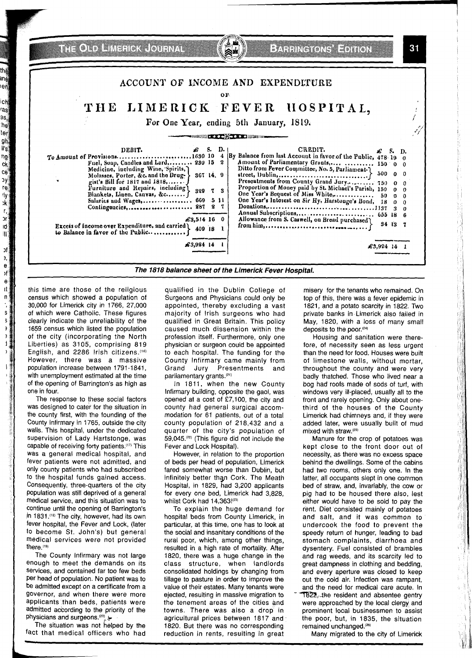THE OLD LIMENCK JOURNAL **EXERCICIE ENTEN** 31 ACCOUNT OF INCOME AND EXPENDITURE OF. LIMERICK FEVER HOSPITAL, THE For One Year, ending 5th January, 1819. 4 DEBIT. £.  $S_{\alpha}$ D. CREDIT. S. D. By Balance from last Account in favor of the Public, 478-19 To Amount of Provisions..  $\cdots \cdots \cdots 1630104$  $\bf{0}$  $\overline{\mathbf{2}}$ Fuel, Soap, Candles and Lard, ....... 230 15  $\mathbf 0$  $\Omega$  $\mathbf{o}$  $\Omega$ 367 14, 9  $\Omega$  $\Omega$  $\mathbf{o}$ 329 7 3  $\boldsymbol{0}$  $\mathbf{0}$  $\mathbf 0$ One Year's Interest on Sir Hy, Harstonge's Bond,  ${\bf 18}$  $\mathbf{0}$  $\pmb{0}$ Contingencies, ........................ 287 2 7  $\n Donations, \n \ldots \n \ldots \n \ldots \n \ldots \n \ldots \n \ldots \n \ldots \n \ldots \n \ldots \n \ldots \n \ldots \n \ldots \n \ldots \n \ldots \n \ldots \n \ldots \n \ldots \n \ldots \n \ldots \n \ldots \n \ldots \n \ldots \n \ldots \n \ldots \n \ldots \n \ldots \n \ldots \n \ldots \n \ldots \n \ldots \n \ldots \n \ldots \n \ldots \n \ldots \n \ldots \n \ld$  $\overline{\mathbf{3}}$  $\boldsymbol{0}$ Annual Subscriptions, ..................... 655 18 6 Allowance from S. Caswell, on Bread purchased  $\pounds3,514$  16 0 34 13  $\mathbf{7}$ Excess of income over Expenditure, and carried \ 409 18 1 to Balance in favor of the Public..............  $$3,924$  14 1  $\pounds 3,924$  14 1 The 1818 balance sheet of the Limerick Fever Hospital.

this time are those of the religious census which showed a population of 30,000 for Limerick city in 1766, 27,000 of which were Catholic. These figures clearly indicate the unreliability of the 1659 census which listed the population of the city (incorporating the North Liberties) as 3105, comprising 819 English, and 2286 Irish citizens. (16) However, there was a massive population increase between 1791-1841, with unemployment estimated at the time of the opening of Barrington's as high as one in four.

ang

eř.

ich

/as 9s,,

he

ter

gh, ll's

ng

 $c_{\mathbf{k}}$ 

ce

эγ

 $r_{\Theta}$ 

rly<br>:k

 $\mathbf{r}_i$ 

рŗ

 $\overline{d}$ 

 $\vert \vert \vert$ 

рf Э,  $\mathbf{e}$ 

Σf  $\mathbf{e}$ 1t

 $\mathbf{n}$ 

s

s

3

÷ d,

> The response to these social factors was designed to cater for the situation in the county first, with the founding of the County Infirmary in 1765, outside the city walls. This hospital, under the dedicated supervision of Lady Hartstonge, was capable of receiving forty patients.<sup>(17)</sup> This was a general medical hospital, and fever patients were not admitted, and only county patients who had subscribed to the hospital funds gained access. Consequently, three-quarters of the city population was still deprived of a general medical service, and this situation was to continue until the opening of Barrington's in 1831.(18) The city, however, had its own fever hospital, the Fever and Lock, (later to become St. John's) but general medical services were not provided there.(19)

The County Infirmary was not large enough to meet the demands on its services, and contained far too few beds per head of population. No patient was to be admitted except on a certificate from a governor, and when there were more applicants than beds, patients were admitted according to the priority of the physicians and surgeons.<sup>(20)</sup>

The situation was not helped by the fact that medical officers who had qualified in the Dublin College of Surgeons and Physicians could only be appointed, thereby excluding a vast majority of Irish surgeons who had qualified in Great Britain. This policy caused much dissension within the profession itself. Furthermore, only one physician or surgeon could be appointed to each hospital. The funding for the County Infirmary came mainly from Grand Jury Presentments and parliamentary grants.<sup>(21)</sup>

In 1811, when the new County Infirmary building, opposite the gaol, was opened at a cost of £7,100, the city and county had general surgical accommodation for 61 patients, out of a total county population of 218,432 and a quarter of the city's population of 59,045.<sup>(22)</sup> (This figure did not include the Fever and Lock Hospital).

However, in relation to the proportion of beds per head of population, Limerick fared somewhat worse than Dublin, but infinitely better than Cork. The Meath Hospital, in 1829, had 3,200 applicants for every one bed, Limerick had 3,828, whilst Cork had 14,363!(23)

To explain the huge demand for hospital beds from County Limerick, in particular, at this time, one has to look at the social and insanitary conditions of the rural poor, which, among other things, resulted in a high rate of mortality. After 1820, there was a huge change in the class structure, when landlords consolidated holdings by changing from tillage to pasture in order to improve the value of their estates. Many tenants were ejected, resulting in massive migration to the tenement areas of the cities and towns. There was also a drop in agricultural prices between 1817 and 1820. But there was no corresponding reduction in rents, resulting in great

misery for the tenants who remained. On top of this, there was a fever epidemic in 1821, and a potato scarcity in 1822. Two private banks in Limerick also failed in May, 1820, with a loss of many small deposits to the poor.<sup>(24)</sup>

Housing and sanitation were therefore, of necessity seen as less urgent than the need for food. Houses were built of limestone walls, without mortar, throughout the county and were very badly thatched. Those who lived near a bog had roofs made of sods of turf, with windows very ill-placed, usually all to the front and rarely opening. Only about onethird of the houses of the County Limerick had chimneys and, if they were added later, were usually built of mud mixed with straw.(25)

Manure for the crop of potatoes was kept close to the front door out of necessity, as there was no excess space behind the dwellings. Some of the cabins had two rooms, others only one. In the latter, all occupants slept in one common bed of straw, and, invariably, the cow or pig had to be housed there also, lest either would have to be sold to pay the rent. Diet consisted mainly of potatoes and salt, and it was common to undercook the food to prevent the speedy return of hunger, leading to bad stomach complaints, diarrhoea and dysentery. Fuel consisted of brambles and rag weeds, and its scarcity led to great dampness in clothing and bedding, and every aperture was closed to keep out the cold air. Infection was rampant, and the need for medical care acute. In 1822, the resident and absentee gentry were approached by the local clergy and prominent local businessmen to assist the poor, but, in 1835, the situation remained unchanged.<sup>(26)</sup>

Many migrated to the city of Limerick